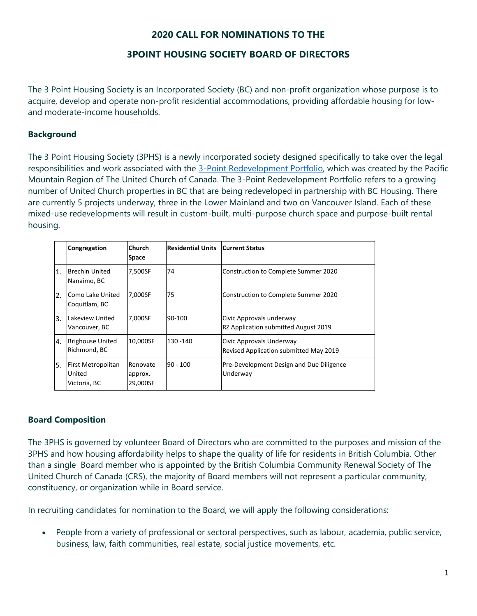# **2020 CALL FOR NOMINATIONS TO THE**

## **3POINT HOUSING SOCIETY BOARD OF DIRECTORS**

The 3 Point Housing Society is an Incorporated Society (BC) and non-profit organization whose purpose is to acquire, develop and operate non-profit residential accommodations, providing affordable housing for lowand moderate-income households.

### **Background**

The 3 Point Housing Society (3PHS) is a newly incorporated society designed specifically to take over the legal responsibilities and work associated with the [3-Point Redevelopment Portfolio,](https://pacificmountain.ca/property-and-finance/property-resource-team/the-three-point-redevelopment-portfolio/) which was created by the Pacific Mountain Region of The United Church of Canada. The 3-Point Redevelopment Portfolio refers to a growing number of United Church properties in BC that are being redeveloped in partnership with BC Housing. There are currently 5 projects underway, three in the Lower Mainland and two on Vancouver Island. Each of these mixed-use redevelopments will result in custom-built, multi-purpose church space and purpose-built rental housing.

|           | Congregation                                 | <b>Church</b><br>Space          | Residential Units | <b>Current Status</b>                                              |
|-----------|----------------------------------------------|---------------------------------|-------------------|--------------------------------------------------------------------|
| 1.        | <b>Brechin United</b><br>Nanaimo, BC         | 7,500SF                         | 74                | Construction to Complete Summer 2020                               |
| <b>2.</b> | Como Lake United<br>Coquitlam, BC            | 7,000SF                         | 75                | Construction to Complete Summer 2020                               |
| ΙЗ.       | Lakeview United<br>Vancouver, BC             | 7,000SF                         | 90-100            | Civic Approvals underway<br>RZ Application submitted August 2019   |
| 4.        | <b>Brighouse United</b><br>Richmond, BC      | 10,000SF                        | 130 - 140         | Civic Approvals Underway<br>Revised Application submitted May 2019 |
| l5.       | First Metropolitan<br>United<br>Victoria, BC | Renovate<br>approx.<br>29,000SF | 90 - 100          | Pre-Development Design and Due Diligence<br>Underway               |

#### **Board Composition**

The 3PHS is governed by volunteer Board of Directors who are committed to the purposes and mission of the 3PHS and how housing affordability helps to shape the quality of life for residents in British Columbia. Other than a single Board member who is appointed by the British Columbia Community Renewal Society of The United Church of Canada (CRS), the majority of Board members will not represent a particular community, constituency, or organization while in Board service.

In recruiting candidates for nomination to the Board, we will apply the following considerations:

• People from a variety of professional or sectoral perspectives, such as labour, academia, public service, business, law, faith communities, real estate, social justice movements, etc.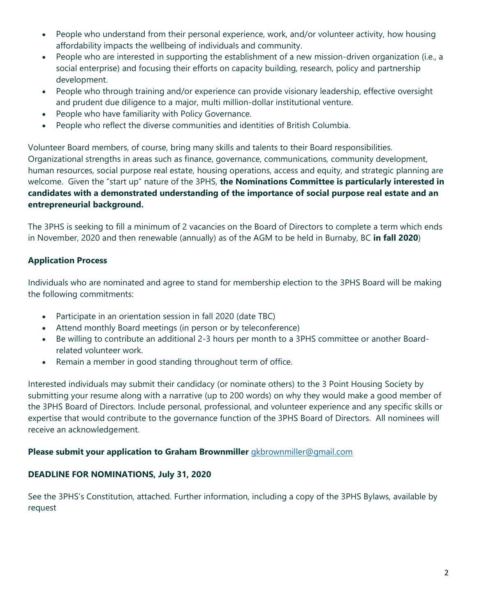- People who understand from their personal experience, work, and/or volunteer activity, how housing affordability impacts the wellbeing of individuals and community.
- People who are interested in supporting the establishment of a new mission-driven organization (i.e., a social enterprise) and focusing their efforts on capacity building, research, policy and partnership development.
- People who through training and/or experience can provide visionary leadership, effective oversight and prudent due diligence to a major, multi million-dollar institutional venture.
- People who have familiarity with Policy Governance.
- People who reflect the diverse communities and identities of British Columbia.

Volunteer Board members, of course, bring many skills and talents to their Board responsibilities. Organizational strengths in areas such as finance, governance, communications, community development, human resources, social purpose real estate, housing operations, access and equity, and strategic planning are welcome. Given the "start up" nature of the 3PHS, **the Nominations Committee is particularly interested in candidates with a demonstrated understanding of the importance of social purpose real estate and an entrepreneurial background.**

The 3PHS is seeking to fill a minimum of 2 vacancies on the Board of Directors to complete a term which ends in November, 2020 and then renewable (annually) as of the AGM to be held in Burnaby, BC **in fall 2020**)

## **Application Process**

Individuals who are nominated and agree to stand for membership election to the 3PHS Board will be making the following commitments:

- Participate in an orientation session in fall 2020 (date TBC)
- Attend monthly Board meetings (in person or by teleconference)
- Be willing to contribute an additional 2-3 hours per month to a 3PHS committee or another Boardrelated volunteer work.
- Remain a member in good standing throughout term of office.

Interested individuals may submit their candidacy (or nominate others) to the 3 Point Housing Society by submitting your resume along with a narrative (up to 200 words) on why they would make a good member of the 3PHS Board of Directors. Include personal, professional, and volunteer experience and any specific skills or expertise that would contribute to the governance function of the 3PHS Board of Directors. All nominees will receive an acknowledgement.

#### **Please submit your application to Graham Brownmiller** *[gkbrownmiller@gmail.com](mailto:gkbrownmiller@gmail.com)***</u>**

#### **DEADLINE FOR NOMINATIONS, July 31, 2020**

See the 3PHS's Constitution, attached. Further information, including a copy of the 3PHS Bylaws, available by request